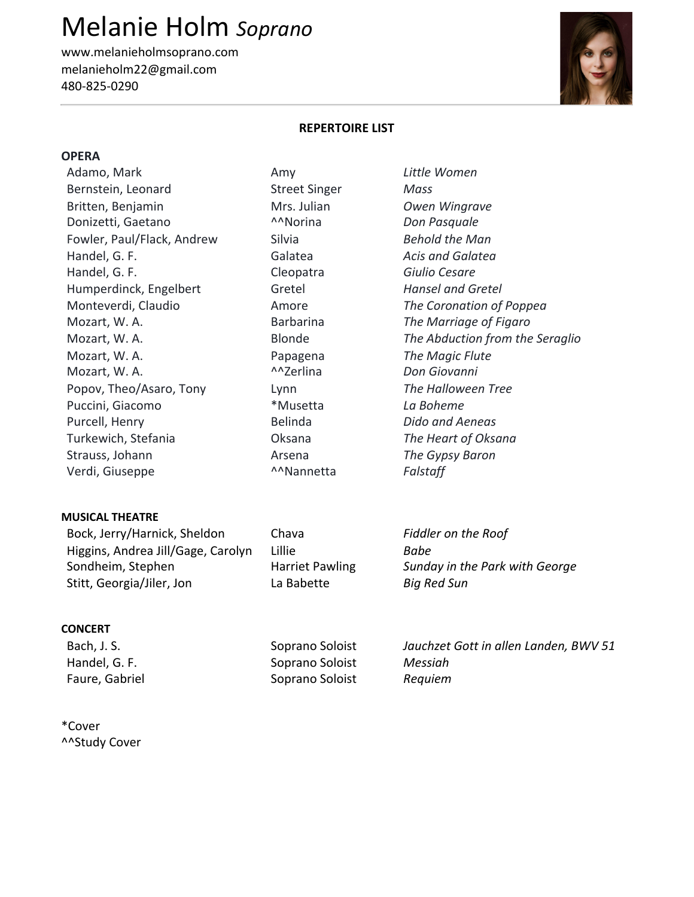www.melanieholmsoprano.com melanieholm22@gmail.com 480-825-0290



### **REPERTOIRE LIST**

#### **OPERA**

Adamo, Mark **Amy Amy** *Little Women* Bernstein, Leonard **Street Singer** *Mass* Britten, Benjamin Mrs. Julian *Owen Wingrave* Donizetti, Gaetano *AANorina Don Pasquale* Fowler, Paul/Flack, Andrew Silvia **Behold** the Man Handel, G. F. **Acis Acis** and Galatea **Acis** and Galatea Handel, G. F. Cleopatra *Giulio Cesare* Humperdinck, Engelbert **Gretel** Gretel *Hansel and Gretel* Monteverdi, Claudio **Amore** *Amore The Coronation of Poppea* Mozart, W. A. **Barbarina** *The Marriage of Figaro The Marriage of Figaro* Mozart, W. A. *Papagena Papagena The Magic Flute* Mozart, W. A. *Note and More that*  $\sim$   $\sim$  Zerlina *Don Giovanni* Popov, Theo/Asaro, Tony Lynn Lynn *The Halloween Tree* Puccini, Giacomo **1988 1988 1988 1988 1988 1988 1988 1988 1988 1988 1988 1988 1988 1988 1988 1988 1988 1988 1988 1988 1988 1988 1988 1988 1988 1988 1988 1988 1988 1** Purcell, Henry **Belinda** *Dido and Aeneas* Turkewich, Stefania *The Heart of Oksana The Heart of Oksana* Strauss, Johann **Arsena** *Arsena The Gypsy Baron* Verdi, Giuseppe *AA***Nannetta** *Falstaff* 

Mozart, W. A. **Blonde** *The Abduction from the Seraglio* 

#### **MUSICAL THEATRE**

| Bock, Jerry/Harnick, Sheldon       | Chava                  | <b>Fiddler on the Roof</b>     |
|------------------------------------|------------------------|--------------------------------|
| Higgins, Andrea Jill/Gage, Carolyn | Lillie                 | Babe                           |
| Sondheim, Stephen                  | <b>Harriet Pawling</b> | Sunday in the Park with George |
| Stitt, Georgia/Jiler, Jon          | La Babette             | <b>Big Red Sun</b>             |

### **CONCERT**

| Bach, J. S.    | Soprano Soloist | Jauchzet Gott in allen Landen, BWV 51 |
|----------------|-----------------|---------------------------------------|
| Handel, G. F.  | Soprano Soloist | Messiah                               |
| Faure, Gabriel | Soprano Soloist | Requiem                               |

\*Cover AAStudy Cover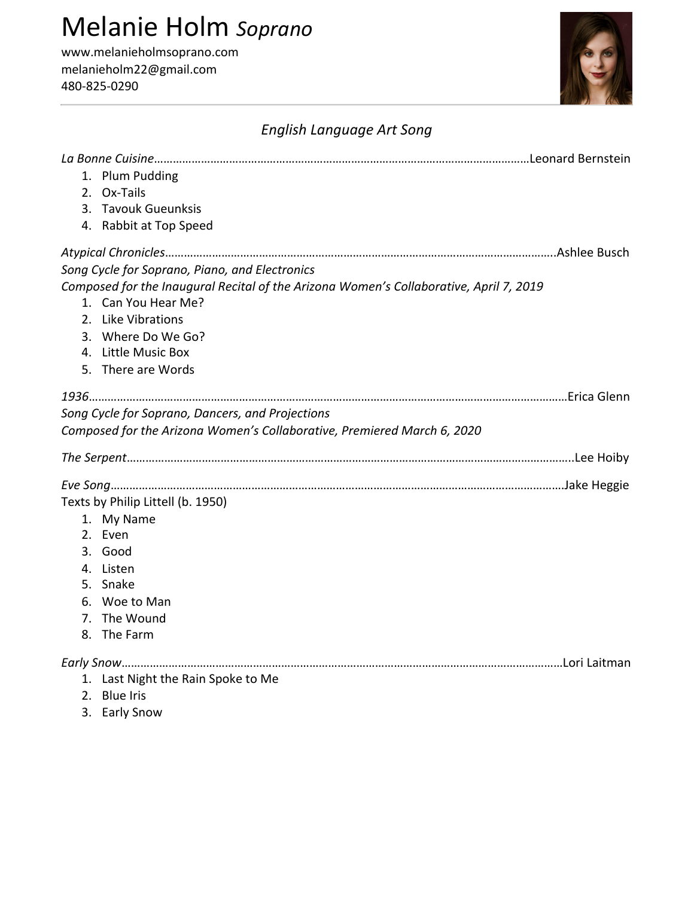www.melanieholmsoprano.com melanieholm22@gmail.com 480-825-0290



## *English Language Art Song*

| 1. Plum Pudding<br>2. Ox-Tails<br>3. Tavouk Gueunksis<br>4. Rabbit at Top Speed                                                                                                                                                                          |  |
|----------------------------------------------------------------------------------------------------------------------------------------------------------------------------------------------------------------------------------------------------------|--|
| Song Cycle for Soprano, Piano, and Electronics<br>Composed for the Inaugural Recital of the Arizona Women's Collaborative, April 7, 2019<br>1. Can You Hear Me?<br>2. Like Vibrations<br>3. Where Do We Go?<br>4. Little Music Box<br>5. There are Words |  |
| Song Cycle for Soprano, Dancers, and Projections<br>Composed for the Arizona Women's Collaborative, Premiered March 6, 2020                                                                                                                              |  |
|                                                                                                                                                                                                                                                          |  |
| Texts by Philip Littell (b. 1950)<br>1. My Name<br>2. Even<br>3. Good<br>4. Listen<br>5. Snake<br>6. Woe to Man<br>7. The Wound<br>8. The Farm                                                                                                           |  |
| 1. Last Night the Rain Spoke to Me<br>2. Blue Iris<br>3. Early Snow                                                                                                                                                                                      |  |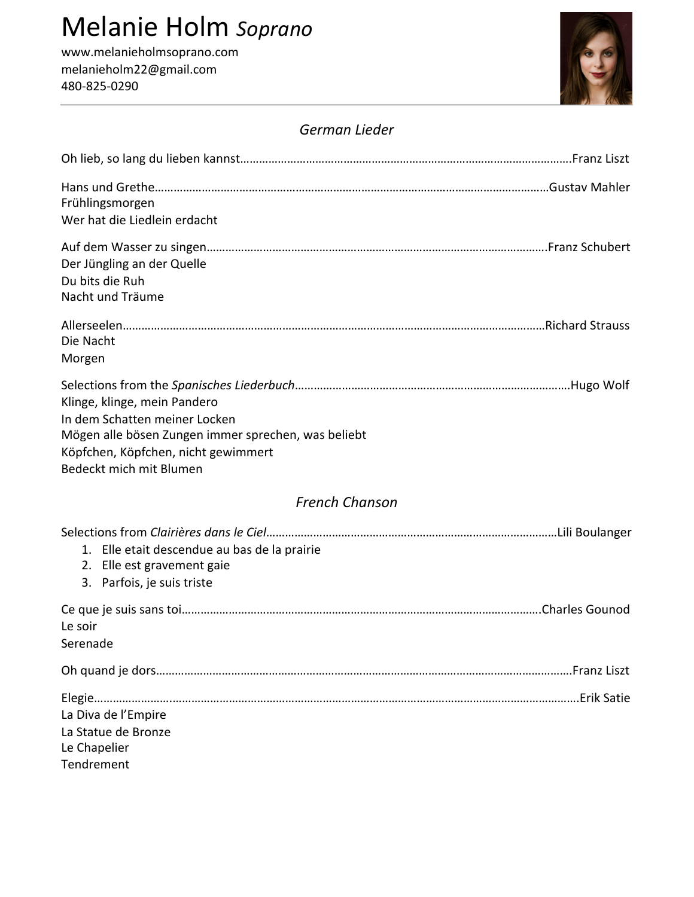www.melanieholmsoprano.com melanieholm22@gmail.com 480-825-0290



### *German Lieder*

| Frühlingsmorgen<br>Wer hat die Liedlein erdacht                                                                                                                                        |  |  |  |
|----------------------------------------------------------------------------------------------------------------------------------------------------------------------------------------|--|--|--|
| Der Jüngling an der Quelle<br>Du bits die Ruh<br>Nacht und Träume                                                                                                                      |  |  |  |
| Die Nacht<br>Morgen                                                                                                                                                                    |  |  |  |
| Klinge, klinge, mein Pandero<br>In dem Schatten meiner Locken<br>Mögen alle bösen Zungen immer sprechen, was beliebt<br>Köpfchen, Köpfchen, nicht gewimmert<br>Bedeckt mich mit Blumen |  |  |  |
| <b>French Chanson</b>                                                                                                                                                                  |  |  |  |
| 1. Elle etait descendue au bas de la prairie<br>2. Elle est gravement gaie<br>3. Parfois, je suis triste                                                                               |  |  |  |
| Le soir<br>Serenade                                                                                                                                                                    |  |  |  |
|                                                                                                                                                                                        |  |  |  |
| La Diva de l'Empire<br>La Statue de Bronze<br>Le Chapelier<br>Tendrement                                                                                                               |  |  |  |